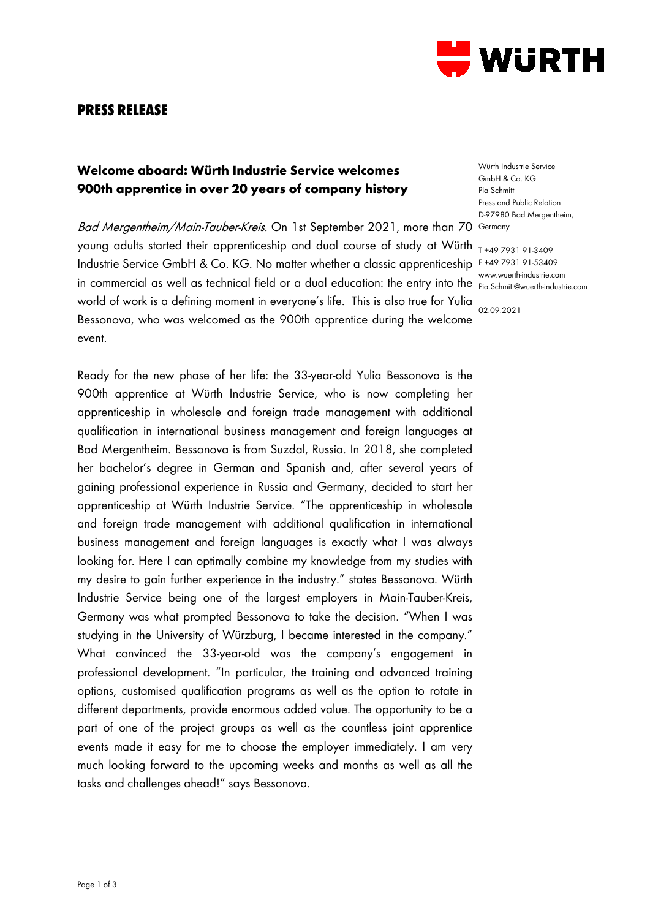

# **PRESS RELEASE**

## **Welcome aboard: Würth Industrie Service welcomes 900th apprentice in over 20 years of company history**

*Bad Mergentheim/Main-Tauber-Kreis.* On 1st September 2021, more than 70 Germany young adults started their apprenticeship and dual course of study at Würth  $_{\text{I +49 7931 91\cdot 3409}}$ Industrie Service GmbH & Co. KG. No matter whether a classic apprenticeship F+49793191-53409 in commercial as well as technical field or a dual education: the entry into the pia. Schmitt@wuerth-industrie.com world of work is a defining moment in everyone's life. This is also true for Yulia Bessonova, who was welcomed as the 900th apprentice during the welcome event.

Ready for the new phase of her life: the 33-year-old Yulia Bessonova is the 900th apprentice at Würth Industrie Service, who is now completing her apprenticeship [in wholesale and foreign trade management with additional](https://www.wuerth-industrie.com/web/de/karriere_jobboerse/ausbildung_wuerth_industrie/wuerth_industrie_ausbildung_berufe/kaufmann_gross_aussenhandel/fremdsprachen_zusatz/ausbildung_zum_kaufmann__m_w__im_gross__und_aussenhandel_mit_zusatzqualifikation_internationales_wirtschaftsmanagement_mit_fremd_1.php)  [qualification in international business management and foreign languages](https://www.wuerth-industrie.com/web/de/karriere_jobboerse/ausbildung_wuerth_industrie/wuerth_industrie_ausbildung_berufe/kaufmann_gross_aussenhandel/fremdsprachen_zusatz/ausbildung_zum_kaufmann__m_w__im_gross__und_aussenhandel_mit_zusatzqualifikation_internationales_wirtschaftsmanagement_mit_fremd_1.php) at Bad Mergentheim. Bessonova is from Suzdal, Russia. In 2018, she completed her bachelor's degree in German and Spanish and, after several years of gaining professional experience in Russia and Germany, decided to start her apprenticeship at Würth Industrie Service. "The apprenticeship in [wholesale](https://www.wuerth-industrie.com/web/de/karriere_jobboerse/ausbildung_wuerth_industrie/wuerth_industrie_ausbildung_berufe/kaufmann_gross_aussenhandel/fremdsprachen_zusatz/ausbildung_zum_kaufmann__m_w__im_gross__und_aussenhandel_mit_zusatzqualifikation_internationales_wirtschaftsmanagement_mit_fremd_1.php)  [and foreign trade management with additional qualification in international](https://www.wuerth-industrie.com/web/de/karriere_jobboerse/ausbildung_wuerth_industrie/wuerth_industrie_ausbildung_berufe/kaufmann_gross_aussenhandel/fremdsprachen_zusatz/ausbildung_zum_kaufmann__m_w__im_gross__und_aussenhandel_mit_zusatzqualifikation_internationales_wirtschaftsmanagement_mit_fremd_1.php)  [business management and foreign languages](https://www.wuerth-industrie.com/web/de/karriere_jobboerse/ausbildung_wuerth_industrie/wuerth_industrie_ausbildung_berufe/kaufmann_gross_aussenhandel/fremdsprachen_zusatz/ausbildung_zum_kaufmann__m_w__im_gross__und_aussenhandel_mit_zusatzqualifikation_internationales_wirtschaftsmanagement_mit_fremd_1.php) is exactly what I was always looking for. Here I can optimally combine my knowledge from my studies with my desire to gain further experience in the industry." states Bessonova. Würth Industrie Service being one of the largest employers in Main-Tauber-Kreis, Germany was what prompted Bessonova to take the decision. "When I was studying in the University of Würzburg, I became interested in the company." What convinced the 33-year-old was the company's engagement in professional development. "In particular, the training and advanced training options, customised qualification programs as well as the option to rotate in different departments, provide enormous added value. The opportunity to be a part of one of the project groups as well as the countless joint apprentice events made it easy for me to choose the employer immediately. I am very much looking forward to the upcoming weeks and months as well as all the tasks and challenges ahead!" says Bessonova.

Würth Industrie Service GmbH & Co. KG Pia Schmitt Press and Public Relation D-97980 Bad Mergentheim,

Pia.Schmitt@wuerth-industrie.com

02.09.2021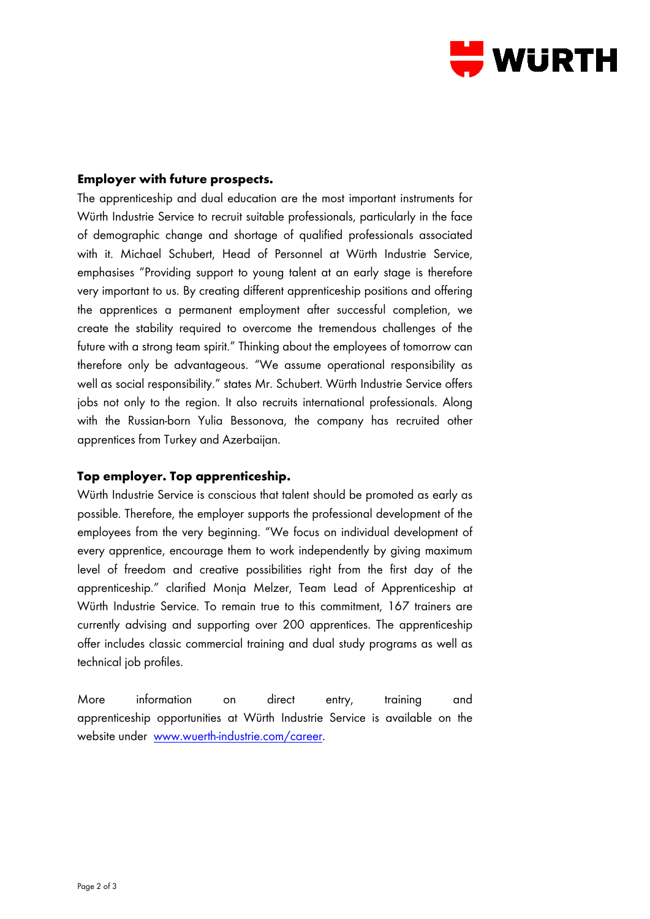

## **Employer with future prospects.**

The apprenticeship and dual education are the most important instruments for Würth Industrie Service to recruit suitable professionals, particularly in the face of demographic change and shortage of qualified professionals associated with it. Michael Schubert, Head of Personnel at Würth Industrie Service, emphasises "Providing support to young talent at an early stage is therefore very important to us. By creating different apprenticeship positions and offering the apprentices a permanent employment after successful completion, we create the stability required to overcome the tremendous challenges of the future with a strong team spirit." Thinking about the employees of tomorrow can therefore only be advantageous. "We assume operational responsibility as well as social responsibility." states Mr. Schubert. Würth Industrie Service offers jobs not only to the region. It also recruits international professionals. Along with the Russian-born Yulia Bessonova, the company has recruited other apprentices from Turkey and Azerbaijan.

### **Top employer. Top apprenticeship.**

Würth Industrie Service is conscious that talent should be promoted as early as possible. Therefore, the employer supports the professional development of the employees from the very beginning. "We focus on individual development of every apprentice, encourage them to work independently by giving maximum level of freedom and creative possibilities right from the first day of the apprenticeship." clarified Monja Melzer, Team Lead of Apprenticeship at Würth Industrie Service. To remain true to this commitment, 167 trainers are currently advising and supporting over 200 apprentices. The apprenticeship offer includes classic commercial training and dual study programs as well as technical job profiles.

More information on direct entry, training and apprenticeship opportunities at Würth Industrie Service is available on the website under [www.wuerth-industrie.com/career.](http://www.wuerth-industrie.com/career)